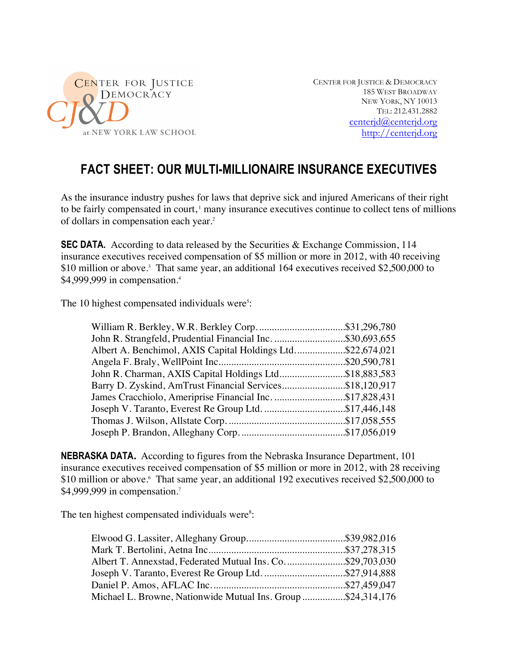

CENTER FOR JUSTICE & DEMOCRACY 185 WEST BROADWAY NEW YORK, NY 10013 TEL: 212.431.2882 centerjd@centerjd.org http://centerjd.org

## **FACT SHEET: OUR MULTI-MILLIONAIRE INSURANCE EXECUTIVES**

As the insurance industry pushes for laws that deprive sick and injured Americans of their right to be fairly compensated in court,<sup>1</sup> many insurance executives continue to collect tens of millions of dollars in compensation each year. 2

**SEC DATA.** According to data released by the Securities & Exchange Commission, 114 insurance executives received compensation of \$5 million or more in 2012, with 40 receiving \$10 million or above.<sup>3</sup> That same year, an additional 164 executives received \$2,500,000 to \$4,999,999 in compensation.<sup>4</sup>

The 10 highest compensated individuals were<sup>5</sup>:

| John R. Strangfeld, Prudential Financial Inc. \$30,693,655 |  |
|------------------------------------------------------------|--|
| Albert A. Benchimol, AXIS Capital Holdings Ltd\$22,674,021 |  |
|                                                            |  |
| John R. Charman, AXIS Capital Holdings Ltd\$18,883,583     |  |
| Barry D. Zyskind, AmTrust Financial Services\$18,120,917   |  |
| James Cracchiolo, Ameriprise Financial Inc. \$17,828,431   |  |
| Joseph V. Taranto, Everest Re Group Ltd. \$17,446,148      |  |
|                                                            |  |
|                                                            |  |
|                                                            |  |

**NEBRASKA DATA.** According to figures from the Nebraska Insurance Department, 101 insurance executives received compensation of \$5 million or more in 2012, with 28 receiving \$10 million or above. That same year, an additional 192 executives received \$2,500,000 to \$4,999,999 in compensation.<sup>7</sup>

The ten highest compensated individuals were<sup>8</sup>:

| Albert T. Annexstad, Federated Mutual Ins. Co\$29,703,030    |  |
|--------------------------------------------------------------|--|
| Joseph V. Taranto, Everest Re Group Ltd. \$27,914,888        |  |
|                                                              |  |
| Michael L. Browne, Nationwide Mutual Ins. Group \$24,314,176 |  |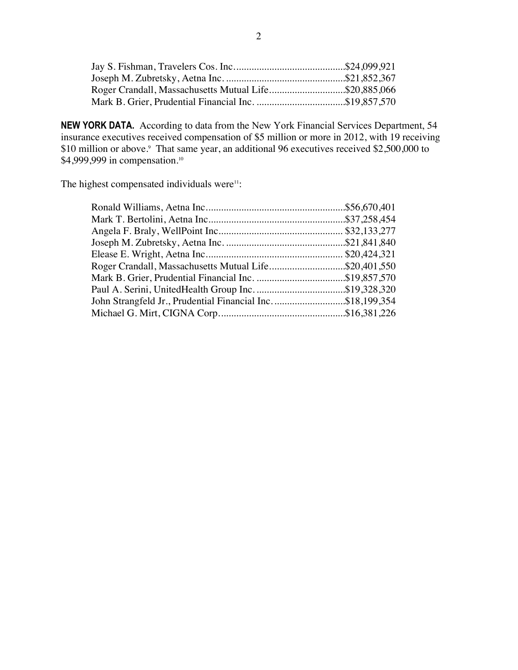| Roger Crandall, Massachusetts Mutual Life\$20,885,066 |  |
|-------------------------------------------------------|--|
|                                                       |  |

**NEW YORK DATA.** According to data from the New York Financial Services Department, 54 insurance executives received compensation of \$5 million or more in 2012, with 19 receiving \$10 million or above.<sup>9</sup> That same year, an additional 96 executives received \$2,500,000 to \$4,999,999 in compensation.<sup>10</sup>

The highest compensated individuals were<sup>11</sup>:

| Roger Crandall, Massachusetts Mutual Life\$20,401,550       |  |
|-------------------------------------------------------------|--|
|                                                             |  |
|                                                             |  |
| John Strangfeld Jr., Prudential Financial Inc. \$18,199,354 |  |
|                                                             |  |
|                                                             |  |